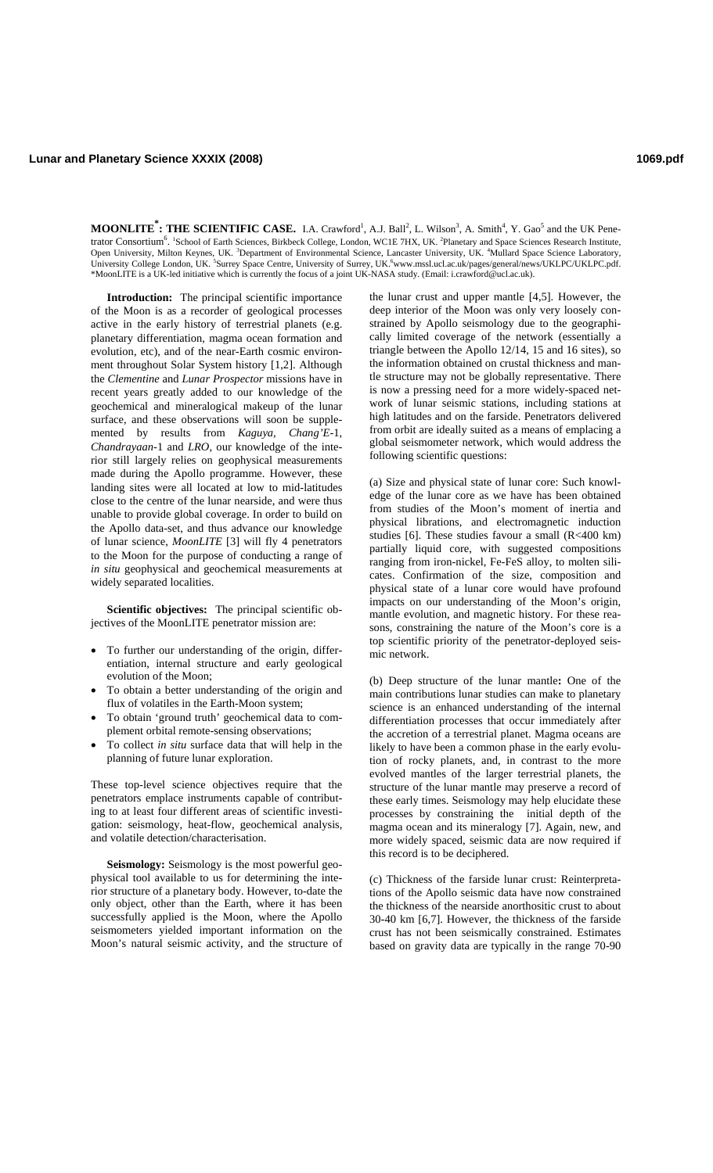**Lunar and Planetary Science XXXIX (2008) 1069.pdf**

**MOONLITE<sup>\*</sup>: THE SCIENTIFIC CASE.** I.A. Crawford<sup>1</sup>, A.J. Ball<sup>2</sup>, L. Wilson<sup>3</sup>, A. Smith<sup>4</sup>, Y. Gao<sup>5</sup> and the UK Penetrator Consortium<sup>6</sup>. <sup>1</sup>School of Earth Sciences, Birkbeck College, London, WC1E 7HX, UK. <sup>2</sup>Planetary and Space Sciences Research Institute, Open University, Milton Keynes, UK. <sup>3</sup>Department of Environmental Science, Lancaster University, UK. <sup>4</sup>Mullard Space Science Laboratory, University College London, UK. <sup>5</sup>Surrey Space Centre, University of Surrey, UK.<sup>6</sup>www.mssl.ucl.ac.uk/pages/general/news/UKLPC/UKLPC.pdf. \*MoonLITE is a UK-led initiative which is currently the focus of a joint UK-NASA study. (Email: i.crawford@ucl.ac.uk).

**Introduction:** The principal scientific importance of the Moon is as a recorder of geological processes active in the early history of terrestrial planets (e.g. planetary differentiation, magma ocean formation and evolution, etc), and of the near-Earth cosmic environment throughout Solar System history [1,2]. Although the *Clementine* and *Lunar Prospector* missions have in recent years greatly added to our knowledge of the geochemical and mineralogical makeup of the lunar surface, and these observations will soon be supplemented by results from *Kaguya*, *Chang'E*-1, *Chandrayaan*-1 and *LRO*, our knowledge of the interior still largely relies on geophysical measurements made during the Apollo programme. However, these landing sites were all located at low to mid-latitudes close to the centre of the lunar nearside, and were thus unable to provide global coverage. In order to build on the Apollo data-set, and thus advance our knowledge of lunar science, *MoonLITE* [3] will fly 4 penetrators to the Moon for the purpose of conducting a range of *in situ* geophysical and geochemical measurements at widely separated localities.

**Scientific objectives:** The principal scientific objectives of the MoonLITE penetrator mission are:

- To further our understanding of the origin, differentiation, internal structure and early geological evolution of the Moon;
- To obtain a better understanding of the origin and flux of volatiles in the Earth-Moon system;
- To obtain 'ground truth' geochemical data to complement orbital remote-sensing observations;
- To collect *in situ* surface data that will help in the planning of future lunar exploration.

These top-level science objectives require that the penetrators emplace instruments capable of contributing to at least four different areas of scientific investigation: seismology, heat-flow, geochemical analysis, and volatile detection/characterisation.

**Seismology:** Seismology is the most powerful geophysical tool available to us for determining the interior structure of a planetary body. However, to-date the only object, other than the Earth, where it has been successfully applied is the Moon, where the Apollo seismometers yielded important information on the Moon's natural seismic activity, and the structure of the lunar crust and upper mantle [4,5]. However, the deep interior of the Moon was only very loosely constrained by Apollo seismology due to the geographically limited coverage of the network (essentially a triangle between the Apollo 12/14, 15 and 16 sites), so the information obtained on crustal thickness and mantle structure may not be globally representative. There is now a pressing need for a more widely-spaced network of lunar seismic stations, including stations at high latitudes and on the farside. Penetrators delivered from orbit are ideally suited as a means of emplacing a global seismometer network, which would address the following scientific questions:

(a) Size and physical state of lunar core: Such knowledge of the lunar core as we have has been obtained from studies of the Moon's moment of inertia and physical librations, and electromagnetic induction studies [6]. These studies favour a small (R<400 km) partially liquid core, with suggested compositions ranging from iron-nickel, Fe-FeS alloy, to molten silicates. Confirmation of the size, composition and physical state of a lunar core would have profound impacts on our understanding of the Moon's origin, mantle evolution, and magnetic history. For these reasons, constraining the nature of the Moon's core is a top scientific priority of the penetrator-deployed seismic network.

(b) Deep structure of the lunar mantle**:** One of the main contributions lunar studies can make to planetary science is an enhanced understanding of the internal differentiation processes that occur immediately after the accretion of a terrestrial planet. Magma oceans are likely to have been a common phase in the early evolution of rocky planets, and, in contrast to the more evolved mantles of the larger terrestrial planets, the structure of the lunar mantle may preserve a record of these early times. Seismology may help elucidate these processes by constraining the initial depth of the magma ocean and its mineralogy [7]. Again, new, and more widely spaced, seismic data are now required if this record is to be deciphered.

(c) Thickness of the farside lunar crust: Reinterpretations of the Apollo seismic data have now constrained the thickness of the nearside anorthositic crust to about 30-40 km [6,7]. However, the thickness of the farside crust has not been seismically constrained. Estimates based on gravity data are typically in the range 70-90